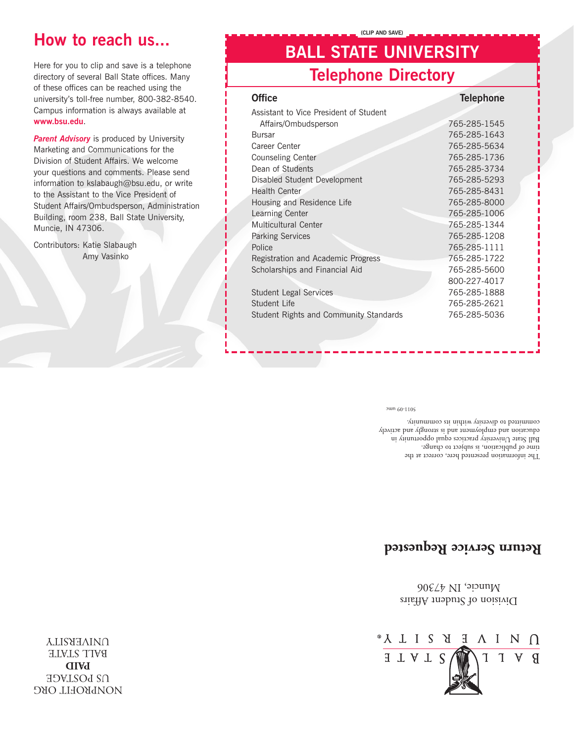NONPROFIT ORG **DRIMGE PAID** BALL STATE **UNIVERSITY** 



Division of Student Affairs Muncie, IN 47306

### **Return Service Requested**

The information presented here, correct at the time of publication, is subject to change. Ball State  $\rm Univerary$  practices equal opportunity in education and employment and is strongly and actively committed to diversity within its community.

5011-09 umc

| <b>Telephone Directory</b>             |                  |
|----------------------------------------|------------------|
| <b>Office</b>                          | <b>Telephone</b> |
| Assistant to Vice President of Student |                  |
| Affairs/Ombudsperson                   | 765-285-1545     |
| Bursar                                 | 765-285-1643     |
| Career Center                          | 765-285-5634     |
| <b>Counseling Center</b>               | 765-285-1736     |
| Dean of Students                       | 765-285-3734     |
| Disabled Student Development           | 765-285-5293     |
| Health Center                          | 765-285-8431     |
| Housing and Residence Life             | 765-285-8000     |
| Learning Center                        | 765-285-1006     |
| Multicultural Center                   | 765-285-1344     |
| <b>Parking Services</b>                | 765-285-1208     |
| Police                                 | 765-285-1111     |
| Registration and Academic Progress     | 765-285-1722     |
| Scholarships and Financial Aid         | 765-285-5600     |
|                                        | 800-227-4017     |
| <b>Student Legal Services</b>          | 765-285-1888     |
| Student Life                           | 765-285-2621     |
| Student Rights and Community Standards | 765-285-5036     |
|                                        |                  |
|                                        |                  |

**BALL STATE UNIVERSITY**

**(CLIP AND SAVE)**

Here for you to clip and save is a telephone directory of several Ball State offices. Many of these offices can be reached using the university's toll-free number, 800-382-8540. Campus information is always available at **www.bsu.edu**.

**Parent Advisory** is produced by University Marketing and Communications for the Division of Student Affairs. We welcome your questions and comments. Please send information to kslabaugh@bsu.edu, or write to the Assistant to the Vice President of Student Affairs/Ombudsperson, Administration Building, room 238, Ball State University,

Muncie, IN 47306.

Contributors: Katie Slabaugh

Amy Vasinko

## **How to reach us...**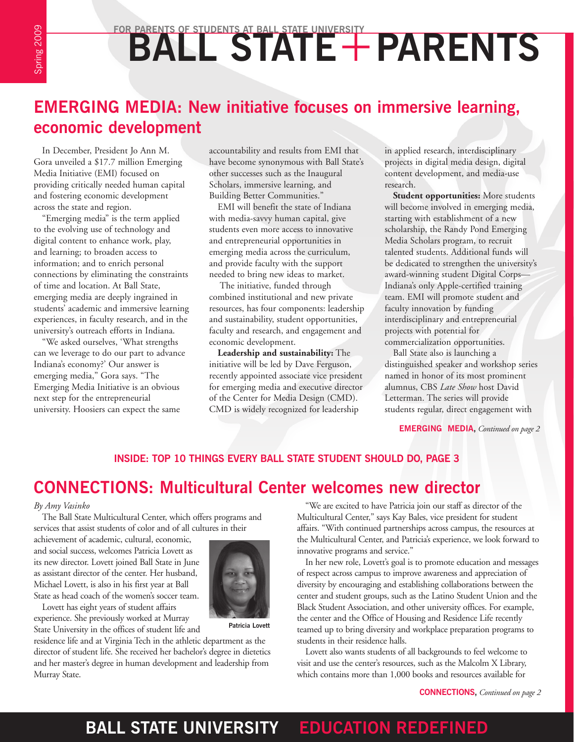# FOR PARENTS OF STUDENTS AT BALL STATE UNIVERSITY<br> **BALL STATE + PARENTS**

## **EMERGING MEDIA: New initiative focuses on immersive learning, economic development**

In December, President Jo Ann M. Gora unveiled a \$17.7 million Emerging Media Initiative (EMI) focused on providing critically needed human capital and fostering economic development across the state and region.

"Emerging media" is the term applied to the evolving use of technology and digital content to enhance work, play, and learning; to broaden access to information; and to enrich personal connections by eliminating the constraints of time and location. At Ball State, emerging media are deeply ingrained in students' academic and immersive learning experiences, in faculty research, and in the university's outreach efforts in Indiana.

"We asked ourselves, 'What strengths can we leverage to do our part to advance Indiana's economy?' Our answer is emerging media," Gora says. "The Emerging Media Initiative is an obvious next step for the entrepreneurial university. Hoosiers can expect the same

accountability and results from EMI that have become synonymous with Ball State's other successes such as the Inaugural Scholars, immersive learning, and Building Better Communities."

EMI will benefit the state of Indiana with media-savvy human capital, give students even more access to innovative and entrepreneurial opportunities in emerging media across the curriculum, and provide faculty with the support needed to bring new ideas to market.

 The initiative, funded through combined institutional and new private resources, has four components: leadership and sustainability, student opportunities, faculty and research, and engagement and economic development.

**Leadership and sustainability:** The initiative will be led by Dave Ferguson, recently appointed associate vice president for emerging media and executive director of the Center for Media Design (CMD). CMD is widely recognized for leadership

in applied research, interdisciplinary projects in digital media design, digital content development, and media-use research.

**Student opportunities:** More students will become involved in emerging media, starting with establishment of a new scholarship, the Randy Pond Emerging Media Scholars program, to recruit talented students. Additional funds will be dedicated to strengthen the university's award-winning student Digital Corps— Indiana's only Apple-certified training team. EMI will promote student and faculty innovation by funding interdisciplinary and entrepreneurial projects with potential for commercialization opportunities.

Ball State also is launching a distinguished speaker and workshop series named in honor of its most prominent alumnus, CBS *Late Show* host David Letterman. The series will provide students regular, direct engagement with

**EMERGING MEDIA,** *Continued on page 2*

#### **INSIDE: TOP 10 THINGS EVERY BALL STATE STUDENT SHOULD DO, PAGE 3**

## **CONNECTIONS: Multicultural Center welcomes new director**

#### *By Amy Vasinko*

The Ball State Multicultural Center, which offers programs and services that assist students of color and of all cultures in their

achievement of academic, cultural, economic, and social success, welcomes Patricia Lovett as its new director. Lovett joined Ball State in June as assistant director of the center. Her husband, Michael Lovett, is also in his first year at Ball State as head coach of the women's soccer team.

Lovett has eight years of student affairs experience. She previously worked at Murray



State University in the offices of student life and

residence life and at Virginia Tech in the athletic department as the director of student life. She received her bachelor's degree in dietetics and her master's degree in human development and leadership from Murray State.

"We are excited to have Patricia join our staff as director of the Multicultural Center," says Kay Bales, vice president for student affairs. "With continued partnerships across campus, the resources at the Multicultural Center, and Patricia's experience, we look forward to innovative programs and service."

In her new role, Lovett's goal is to promote education and messages of respect across campus to improve awareness and appreciation of diversity by encouraging and establishing collaborations between the center and student groups, such as the Latino Student Union and the Black Student Association, and other university offices. For example, the center and the Office of Housing and Residence Life recently teamed up to bring diversity and workplace preparation programs to students in their residence halls.

Lovett also wants students of all backgrounds to feel welcome to visit and use the center's resources, such as the Malcolm X Library, which contains more than 1,000 books and resources available for

**CONNECTIONS,** *Continued on page 2*

## **BALL STATE UNIVERSITY EDUCATION REDEFINED**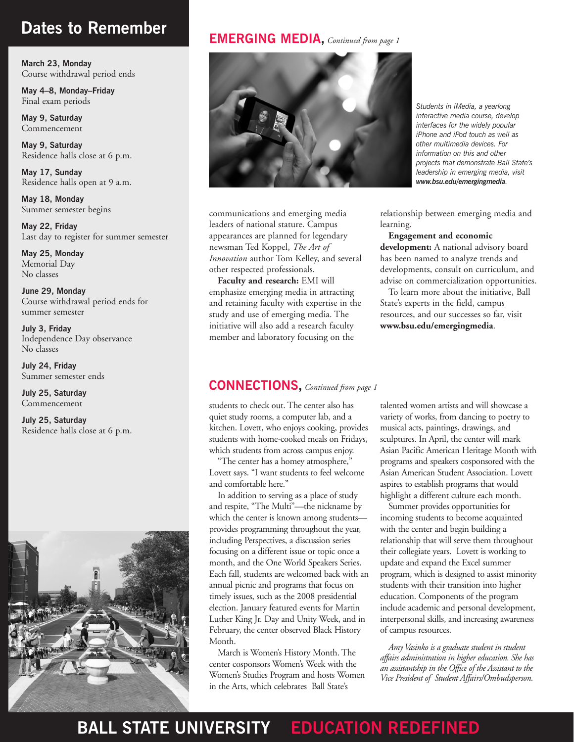## **Dates to Remember**

**March 23, Monday** Course withdrawal period ends

**May 4–8, Monday–Friday** Final exam periods

**May 9, Saturday** Commencement

**May 9, Saturday**  Residence halls close at 6 p.m.

**May 17, Sunday**  Residence halls open at 9 a.m.

**May 18, Monday** Summer semester begins

**May 22, Friday** Last day to register for summer semester

**May 25, Monday** Memorial Day No classes

**June 29, Monday** Course withdrawal period ends for summer semester

**July 3, Friday**  Independence Day observance No classes

**July 24, Friday**  Summer semester ends

**July 25, Saturday** Commencement

**July 25, Saturday** Residence halls close at 6 p.m.



#### **EMERGING MEDIA,** *Continued from page 1*



communications and emerging media leaders of national stature. Campus appearances are planned for legendary newsman Ted Koppel, *The Art of Innovation* author Tom Kelley, and several other respected professionals.

**Faculty and research:** EMI will emphasize emerging media in attracting and retaining faculty with expertise in the study and use of emerging media. The initiative will also add a research faculty member and laboratory focusing on the

*Students in iMedia, a yearlong interactive media course, develop interfaces for the widely popular iPhone and iPod touch as well as other multimedia devices. For information on this and other projects that demonstrate Ball State's leadership in emerging media, visit www.bsu.edu/emergingmedia.*

relationship between emerging media and learning.

**Engagement and economic** 

**development:** A national advisory board has been named to analyze trends and developments, consult on curriculum, and advise on commercialization opportunities.

To learn more about the initiative, Ball State's experts in the field, campus resources, and our successes so far, visit **www.bsu.edu/emergingmedia**.

#### **CONNECTIONS,** *Continued from page 1*

students to check out. The center also has quiet study rooms, a computer lab, and a kitchen. Lovett, who enjoys cooking, provides students with home-cooked meals on Fridays, which students from across campus enjoy.

"The center has a homey atmosphere," Lovett says. "I want students to feel welcome and comfortable here."

In addition to serving as a place of study and respite, "The Multi"—the nickname by which the center is known among studentsprovides programming throughout the year, including Perspectives, a discussion series focusing on a different issue or topic once a month, and the One World Speakers Series. Each fall, students are welcomed back with an annual picnic and programs that focus on timely issues, such as the 2008 presidential election. January featured events for Martin Luther King Jr. Day and Unity Week, and in February, the center observed Black History Month.

March is Women's History Month. The center cosponsors Women's Week with the Women's Studies Program and hosts Women in the Arts, which celebrates Ball State's

talented women artists and will showcase a variety of works, from dancing to poetry to musical acts, paintings, drawings, and sculptures. In April, the center will mark Asian Pacific American Heritage Month with programs and speakers cosponsored with the Asian American Student Association. Lovett aspires to establish programs that would highlight a different culture each month.

Summer provides opportunities for incoming students to become acquainted with the center and begin building a relationship that will serve them throughout their collegiate years. Lovett is working to update and expand the Excel summer program, which is designed to assist minority students with their transition into higher education. Components of the program include academic and personal development, interpersonal skills, and increasing awareness of campus resources.

*Amy Vasinko is a graduate student in student affairs administration in higher education. She has an assistantship in the Office of the Assistant to the Vice President of Student Affairs/Ombudsperson.*

## **BALL STATE UNIVERSITY EDUCATION REDEFINED**